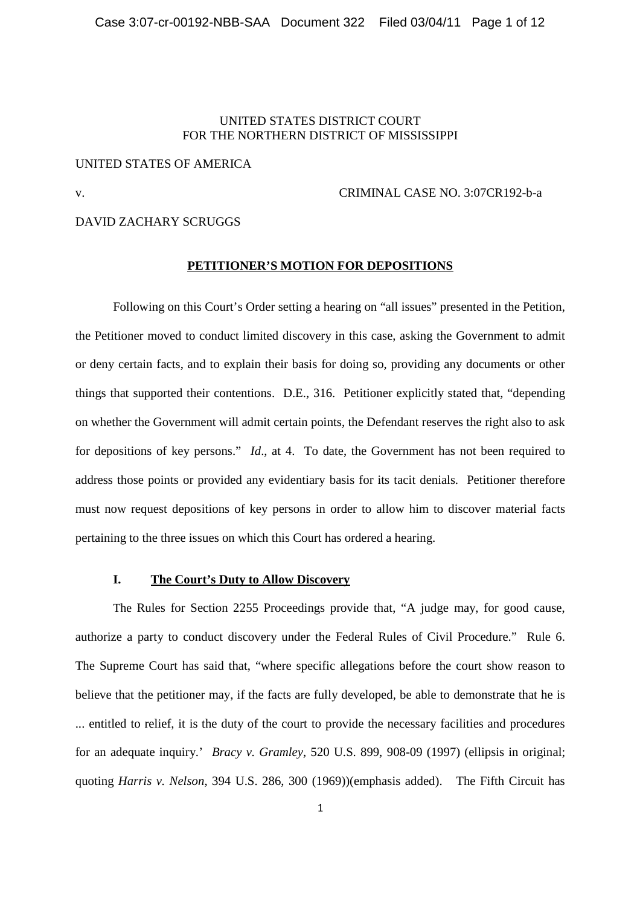## UNITED STATES DISTRICT COURT FOR THE NORTHERN DISTRICT OF MISSISSIPPI

## UNITED STATES OF AMERICA

### v. CRIMINAL CASE NO. 3:07CR192-b-a

#### DAVID ZACHARY SCRUGGS

### **PETITIONER'S MOTION FOR DEPOSITIONS**

Following on this Court's Order setting a hearing on "all issues" presented in the Petition, the Petitioner moved to conduct limited discovery in this case, asking the Government to admit or deny certain facts, and to explain their basis for doing so, providing any documents or other things that supported their contentions. D.E., 316. Petitioner explicitly stated that, "depending on whether the Government will admit certain points, the Defendant reserves the right also to ask for depositions of key persons." *Id*., at 4. To date, the Government has not been required to address those points or provided any evidentiary basis for its tacit denials. Petitioner therefore must now request depositions of key persons in order to allow him to discover material facts pertaining to the three issues on which this Court has ordered a hearing.

## **I. The Court's Duty to Allow Discovery**

The Rules for Section 2255 Proceedings provide that, "A judge may, for good cause, authorize a party to conduct discovery under the Federal Rules of Civil Procedure." Rule 6. The Supreme Court has said that, "where specific allegations before the court show reason to believe that the petitioner may, if the facts are fully developed, be able to demonstrate that he is ... entitled to relief, it is the duty of the court to provide the necessary facilities and procedures for an adequate inquiry.' *Bracy v. Gramley*, 520 U.S. 899, 908-09 (1997) (ellipsis in original; quoting *Harris v. Nelson*, 394 U.S. 286, 300 (1969))(emphasis added). The Fifth Circuit has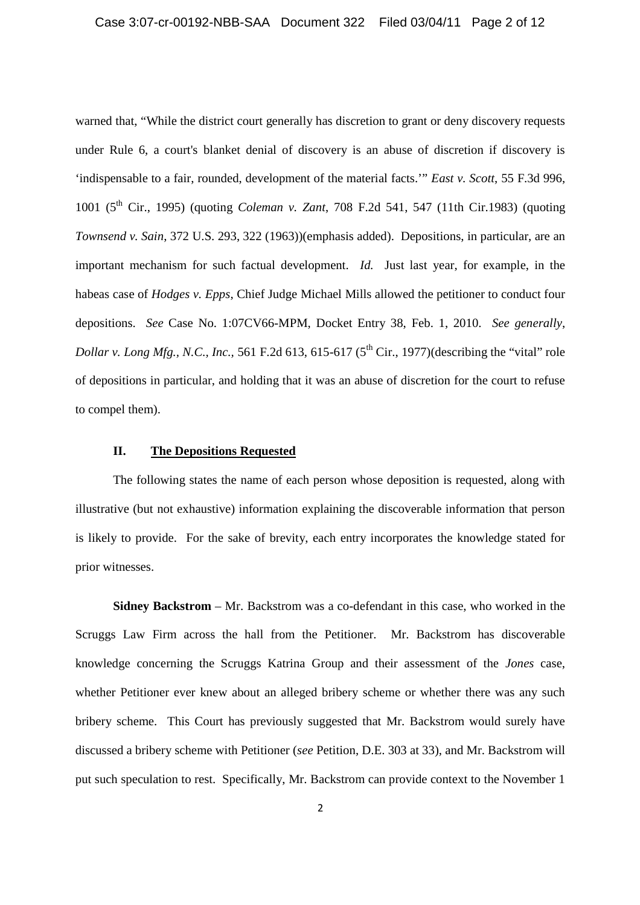warned that, "While the district court generally has discretion to grant or deny discovery requests under Rule 6, a court's blanket denial of discovery is an abuse of discretion if discovery is 'indispensable to a fair, rounded, development of the material facts.'" *East v. Scott*, 55 F.3d 996, 1001 (5th Cir., 1995) (quoting *Coleman v. Zant*, 708 F.2d 541, 547 (11th Cir.1983) (quoting *Townsend v. Sain*, 372 U.S. 293, 322 (1963))(emphasis added). Depositions, in particular, are an important mechanism for such factual development. *Id.* Just last year, for example, in the habeas case of *Hodges v. Epps*, Chief Judge Michael Mills allowed the petitioner to conduct four depositions. *See* Case No. 1:07CV66-MPM, Docket Entry 38, Feb. 1, 2010. *See generally*, *Dollar v. Long Mfg., N.C., Inc.,* 561 F.2d 613, 615-617 ( $5<sup>th</sup> Cir., 1977$ )(describing the "vital" role of depositions in particular, and holding that it was an abuse of discretion for the court to refuse to compel them).

## **II. The Depositions Requested**

The following states the name of each person whose deposition is requested, along with illustrative (but not exhaustive) information explaining the discoverable information that person is likely to provide. For the sake of brevity, each entry incorporates the knowledge stated for prior witnesses.

**Sidney Backstrom** – Mr. Backstrom was a co-defendant in this case, who worked in the Scruggs Law Firm across the hall from the Petitioner. Mr. Backstrom has discoverable knowledge concerning the Scruggs Katrina Group and their assessment of the *Jones* case, whether Petitioner ever knew about an alleged bribery scheme or whether there was any such bribery scheme. This Court has previously suggested that Mr. Backstrom would surely have discussed a bribery scheme with Petitioner (*see* Petition, D.E. 303 at 33), and Mr. Backstrom will put such speculation to rest. Specifically, Mr. Backstrom can provide context to the November 1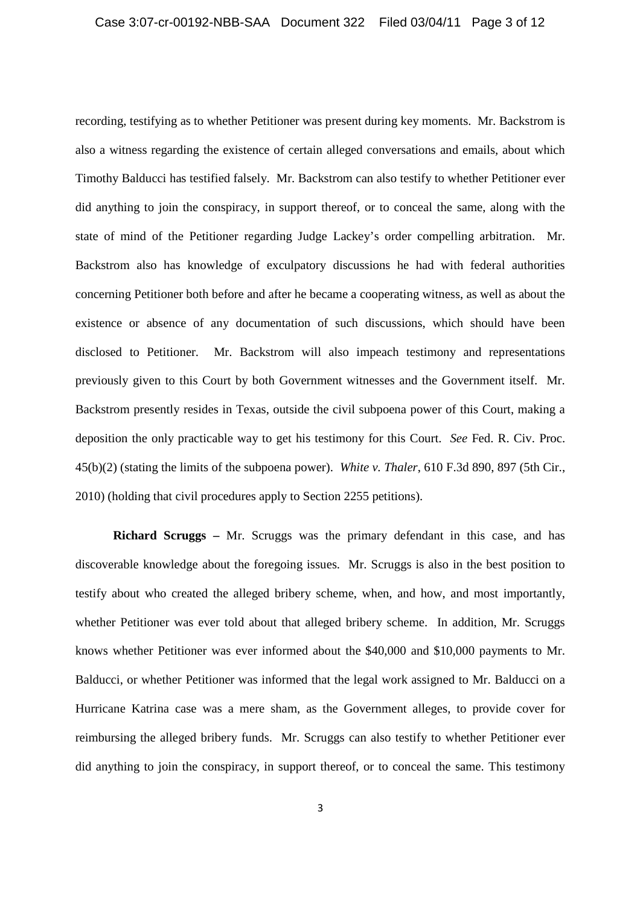recording, testifying as to whether Petitioner was present during key moments. Mr. Backstrom is also a witness regarding the existence of certain alleged conversations and emails, about which Timothy Balducci has testified falsely. Mr. Backstrom can also testify to whether Petitioner ever did anything to join the conspiracy, in support thereof, or to conceal the same, along with the state of mind of the Petitioner regarding Judge Lackey's order compelling arbitration. Mr. Backstrom also has knowledge of exculpatory discussions he had with federal authorities concerning Petitioner both before and after he became a cooperating witness, as well as about the existence or absence of any documentation of such discussions, which should have been disclosed to Petitioner. Mr. Backstrom will also impeach testimony and representations previously given to this Court by both Government witnesses and the Government itself. Mr. Backstrom presently resides in Texas, outside the civil subpoena power of this Court, making a deposition the only practicable way to get his testimony for this Court. *See* Fed. R. Civ. Proc. 45(b)(2) (stating the limits of the subpoena power). *White v. Thaler*, 610 F.3d 890, 897 (5th Cir., 2010) (holding that civil procedures apply to Section 2255 petitions).

**Richard Scruggs –** Mr. Scruggs was the primary defendant in this case, and has discoverable knowledge about the foregoing issues. Mr. Scruggs is also in the best position to testify about who created the alleged bribery scheme, when, and how, and most importantly, whether Petitioner was ever told about that alleged bribery scheme. In addition, Mr. Scruggs knows whether Petitioner was ever informed about the \$40,000 and \$10,000 payments to Mr. Balducci, or whether Petitioner was informed that the legal work assigned to Mr. Balducci on a Hurricane Katrina case was a mere sham, as the Government alleges, to provide cover for reimbursing the alleged bribery funds. Mr. Scruggs can also testify to whether Petitioner ever did anything to join the conspiracy, in support thereof, or to conceal the same. This testimony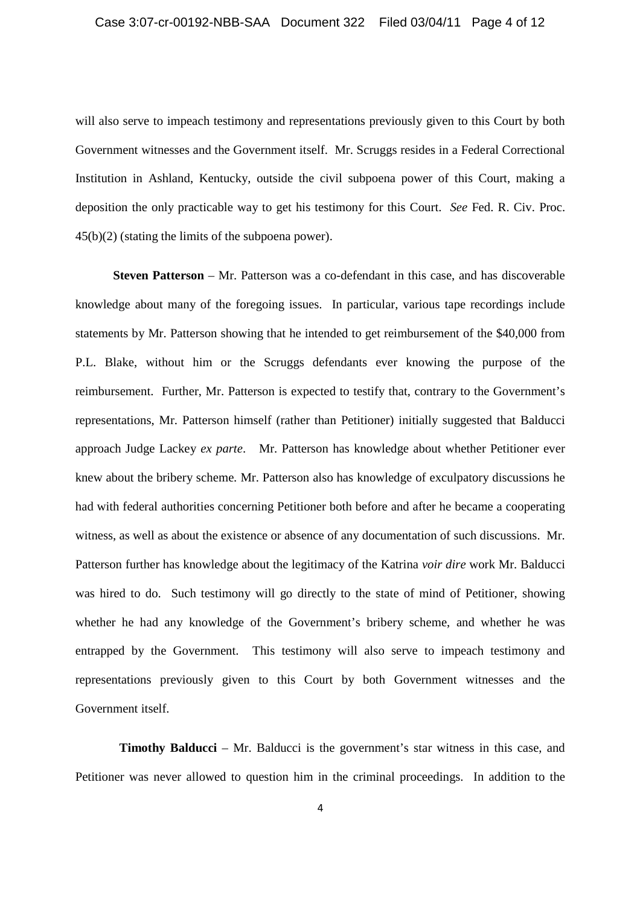will also serve to impeach testimony and representations previously given to this Court by both Government witnesses and the Government itself. Mr. Scruggs resides in a Federal Correctional Institution in Ashland, Kentucky, outside the civil subpoena power of this Court, making a deposition the only practicable way to get his testimony for this Court. *See* Fed. R. Civ. Proc. 45(b)(2) (stating the limits of the subpoena power).

**Steven Patterson** – Mr. Patterson was a co-defendant in this case, and has discoverable knowledge about many of the foregoing issues. In particular, various tape recordings include statements by Mr. Patterson showing that he intended to get reimbursement of the \$40,000 from P.L. Blake, without him or the Scruggs defendants ever knowing the purpose of the reimbursement. Further, Mr. Patterson is expected to testify that, contrary to the Government's representations, Mr. Patterson himself (rather than Petitioner) initially suggested that Balducci approach Judge Lackey *ex parte*. Mr. Patterson has knowledge about whether Petitioner ever knew about the bribery scheme. Mr. Patterson also has knowledge of exculpatory discussions he had with federal authorities concerning Petitioner both before and after he became a cooperating witness, as well as about the existence or absence of any documentation of such discussions. Mr. Patterson further has knowledge about the legitimacy of the Katrina *voir dire* work Mr. Balducci was hired to do. Such testimony will go directly to the state of mind of Petitioner, showing whether he had any knowledge of the Government's bribery scheme, and whether he was entrapped by the Government. This testimony will also serve to impeach testimony and representations previously given to this Court by both Government witnesses and the Government itself.

**Timothy Balducci** – Mr. Balducci is the government's star witness in this case, and Petitioner was never allowed to question him in the criminal proceedings. In addition to the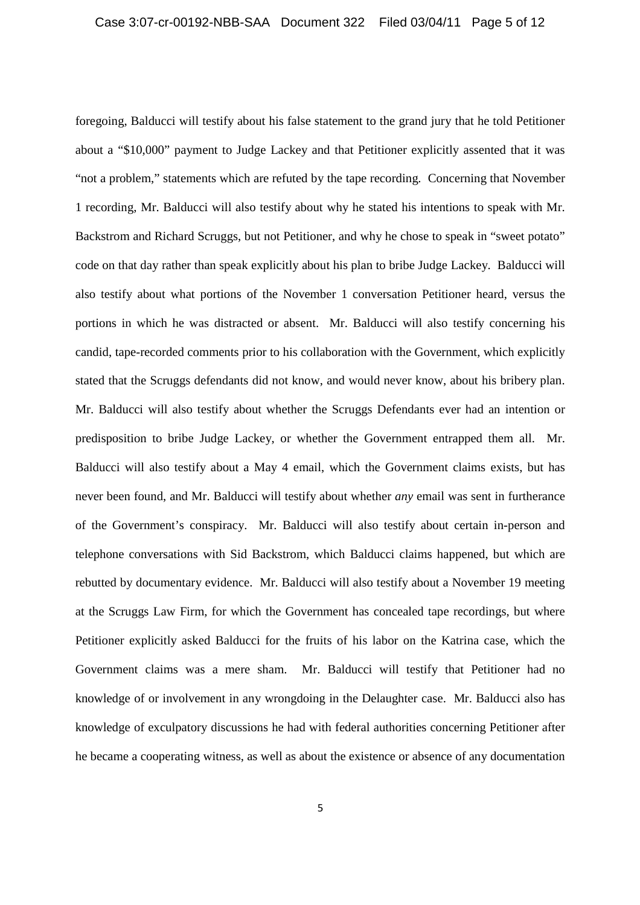foregoing, Balducci will testify about his false statement to the grand jury that he told Petitioner about a "\$10,000" payment to Judge Lackey and that Petitioner explicitly assented that it was "not a problem," statements which are refuted by the tape recording. Concerning that November 1 recording, Mr. Balducci will also testify about why he stated his intentions to speak with Mr. Backstrom and Richard Scruggs, but not Petitioner, and why he chose to speak in "sweet potato" code on that day rather than speak explicitly about his plan to bribe Judge Lackey. Balducci will also testify about what portions of the November 1 conversation Petitioner heard, versus the portions in which he was distracted or absent. Mr. Balducci will also testify concerning his candid, tape-recorded comments prior to his collaboration with the Government, which explicitly stated that the Scruggs defendants did not know, and would never know, about his bribery plan. Mr. Balducci will also testify about whether the Scruggs Defendants ever had an intention or predisposition to bribe Judge Lackey, or whether the Government entrapped them all. Mr. Balducci will also testify about a May 4 email, which the Government claims exists, but has never been found, and Mr. Balducci will testify about whether *any* email was sent in furtherance of the Government's conspiracy. Mr. Balducci will also testify about certain in-person and telephone conversations with Sid Backstrom, which Balducci claims happened, but which are rebutted by documentary evidence. Mr. Balducci will also testify about a November 19 meeting at the Scruggs Law Firm, for which the Government has concealed tape recordings, but where Petitioner explicitly asked Balducci for the fruits of his labor on the Katrina case, which the Government claims was a mere sham. Mr. Balducci will testify that Petitioner had no knowledge of or involvement in any wrongdoing in the Delaughter case. Mr. Balducci also has knowledge of exculpatory discussions he had with federal authorities concerning Petitioner after he became a cooperating witness, as well as about the existence or absence of any documentation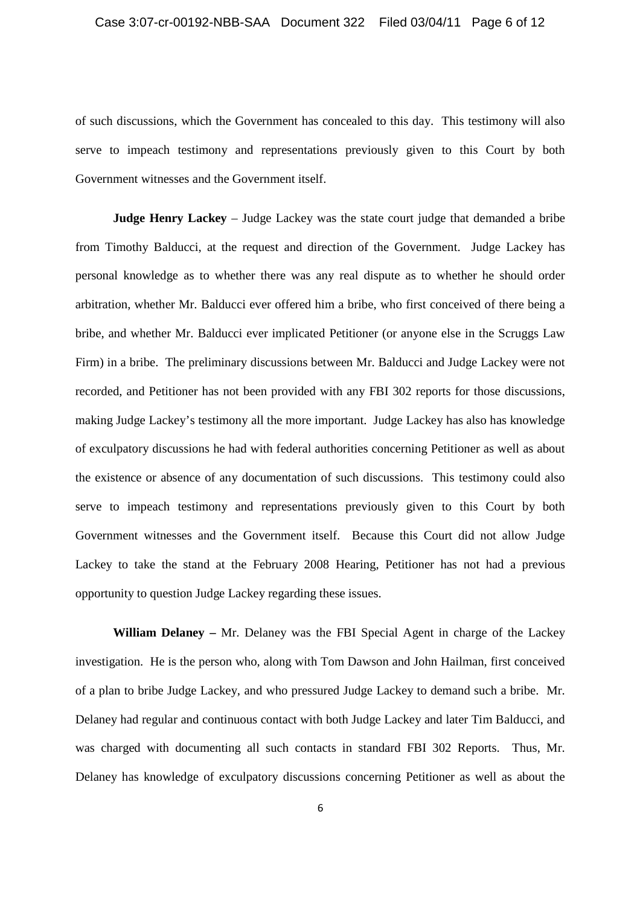of such discussions, which the Government has concealed to this day. This testimony will also serve to impeach testimony and representations previously given to this Court by both Government witnesses and the Government itself.

**Judge Henry Lackey** – Judge Lackey was the state court judge that demanded a bribe from Timothy Balducci, at the request and direction of the Government. Judge Lackey has personal knowledge as to whether there was any real dispute as to whether he should order arbitration, whether Mr. Balducci ever offered him a bribe, who first conceived of there being a bribe, and whether Mr. Balducci ever implicated Petitioner (or anyone else in the Scruggs Law Firm) in a bribe. The preliminary discussions between Mr. Balducci and Judge Lackey were not recorded, and Petitioner has not been provided with any FBI 302 reports for those discussions, making Judge Lackey's testimony all the more important. Judge Lackey has also has knowledge of exculpatory discussions he had with federal authorities concerning Petitioner as well as about the existence or absence of any documentation of such discussions. This testimony could also serve to impeach testimony and representations previously given to this Court by both Government witnesses and the Government itself. Because this Court did not allow Judge Lackey to take the stand at the February 2008 Hearing, Petitioner has not had a previous opportunity to question Judge Lackey regarding these issues.

**William Delaney –** Mr. Delaney was the FBI Special Agent in charge of the Lackey investigation. He is the person who, along with Tom Dawson and John Hailman, first conceived of a plan to bribe Judge Lackey, and who pressured Judge Lackey to demand such a bribe. Mr. Delaney had regular and continuous contact with both Judge Lackey and later Tim Balducci, and was charged with documenting all such contacts in standard FBI 302 Reports. Thus, Mr. Delaney has knowledge of exculpatory discussions concerning Petitioner as well as about the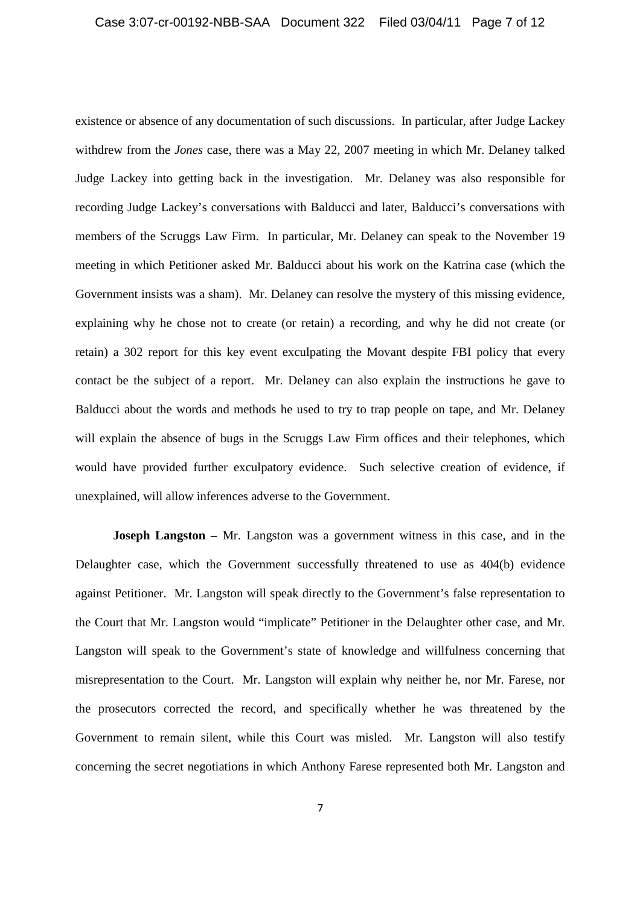existence or absence of any documentation of such discussions. In particular, after Judge Lackey withdrew from the *Jones* case, there was a May 22, 2007 meeting in which Mr. Delaney talked Judge Lackey into getting back in the investigation. Mr. Delaney was also responsible for recording Judge Lackey's conversations with Balducci and later, Balducci's conversations with members of the Scruggs Law Firm. In particular, Mr. Delaney can speak to the November 19 meeting in which Petitioner asked Mr. Balducci about his work on the Katrina case (which the Government insists was a sham). Mr. Delaney can resolve the mystery of this missing evidence, explaining why he chose not to create (or retain) a recording, and why he did not create (or retain) a 302 report for this key event exculpating the Movant despite FBI policy that every contact be the subject of a report. Mr. Delaney can also explain the instructions he gave to Balducci about the words and methods he used to try to trap people on tape, and Mr. Delaney will explain the absence of bugs in the Scruggs Law Firm offices and their telephones, which would have provided further exculpatory evidence. Such selective creation of evidence, if unexplained, will allow inferences adverse to the Government.

**Joseph Langston** – Mr. Langston was a government witness in this case, and in the Delaughter case, which the Government successfully threatened to use as 404(b) evidence against Petitioner. Mr. Langston will speak directly to the Government's false representation to the Court that Mr. Langston would "implicate" Petitioner in the Delaughter other case, and Mr. Langston will speak to the Government's state of knowledge and willfulness concerning that misrepresentation to the Court. Mr. Langston will explain why neither he, nor Mr. Farese, nor the prosecutors corrected the record, and specifically whether he was threatened by the Government to remain silent, while this Court was misled. Mr. Langston will also testify concerning the secret negotiations in which Anthony Farese represented both Mr. Langston and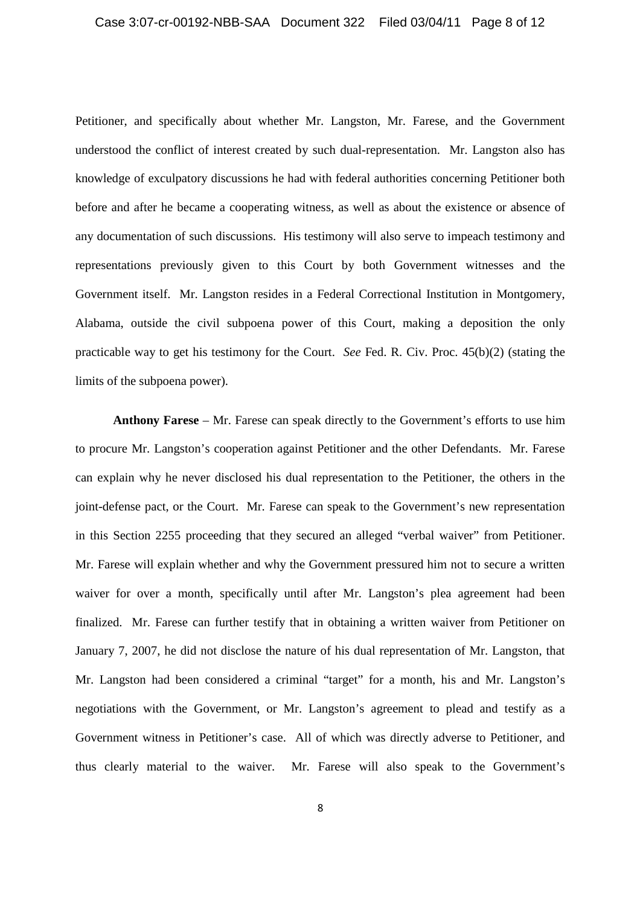# Case 3:07-cr-00192-NBB-SAA Document 322 Filed 03/04/11 Page 8 of 12

Petitioner, and specifically about whether Mr. Langston, Mr. Farese, and the Government understood the conflict of interest created by such dual-representation. Mr. Langston also has knowledge of exculpatory discussions he had with federal authorities concerning Petitioner both before and after he became a cooperating witness, as well as about the existence or absence of any documentation of such discussions. His testimony will also serve to impeach testimony and representations previously given to this Court by both Government witnesses and the Government itself. Mr. Langston resides in a Federal Correctional Institution in Montgomery, Alabama, outside the civil subpoena power of this Court, making a deposition the only practicable way to get his testimony for the Court. *See* Fed. R. Civ. Proc. 45(b)(2) (stating the limits of the subpoena power).

**Anthony Farese** – Mr. Farese can speak directly to the Government's efforts to use him to procure Mr. Langston's cooperation against Petitioner and the other Defendants. Mr. Farese can explain why he never disclosed his dual representation to the Petitioner, the others in the joint-defense pact, or the Court. Mr. Farese can speak to the Government's new representation in this Section 2255 proceeding that they secured an alleged "verbal waiver" from Petitioner. Mr. Farese will explain whether and why the Government pressured him not to secure a written waiver for over a month, specifically until after Mr. Langston's plea agreement had been finalized. Mr. Farese can further testify that in obtaining a written waiver from Petitioner on January 7, 2007, he did not disclose the nature of his dual representation of Mr. Langston, that Mr. Langston had been considered a criminal "target" for a month, his and Mr. Langston's negotiations with the Government, or Mr. Langston's agreement to plead and testify as a Government witness in Petitioner's case. All of which was directly adverse to Petitioner, and thus clearly material to the waiver. Mr. Farese will also speak to the Government's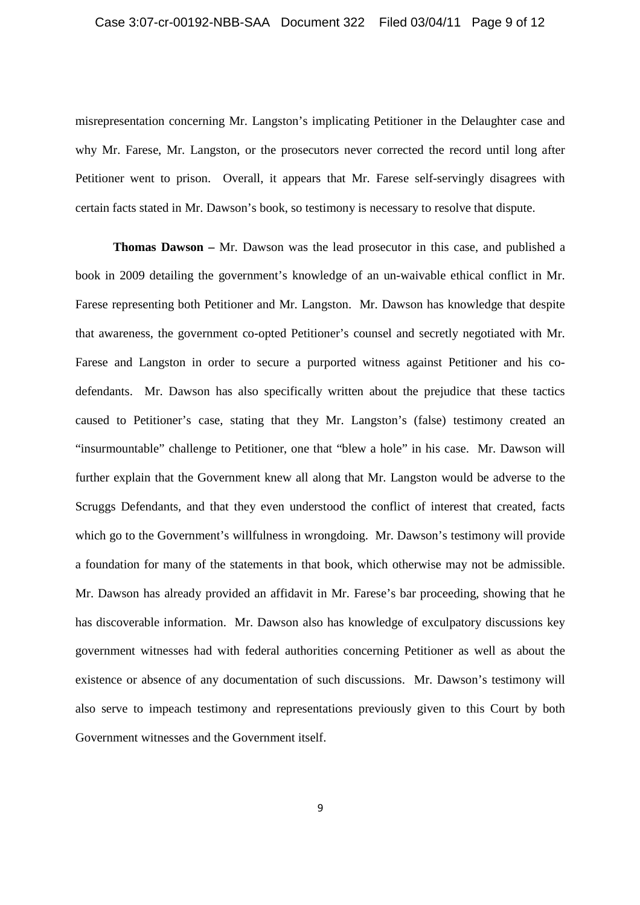misrepresentation concerning Mr. Langston's implicating Petitioner in the Delaughter case and why Mr. Farese, Mr. Langston, or the prosecutors never corrected the record until long after Petitioner went to prison. Overall, it appears that Mr. Farese self-servingly disagrees with certain facts stated in Mr. Dawson's book, so testimony is necessary to resolve that dispute.

**Thomas Dawson –** Mr. Dawson was the lead prosecutor in this case, and published a book in 2009 detailing the government's knowledge of an un-waivable ethical conflict in Mr. Farese representing both Petitioner and Mr. Langston. Mr. Dawson has knowledge that despite that awareness, the government co-opted Petitioner's counsel and secretly negotiated with Mr. Farese and Langston in order to secure a purported witness against Petitioner and his codefendants. Mr. Dawson has also specifically written about the prejudice that these tactics caused to Petitioner's case, stating that they Mr. Langston's (false) testimony created an "insurmountable" challenge to Petitioner, one that "blew a hole" in his case. Mr. Dawson will further explain that the Government knew all along that Mr. Langston would be adverse to the Scruggs Defendants, and that they even understood the conflict of interest that created, facts which go to the Government's willfulness in wrongdoing. Mr. Dawson's testimony will provide a foundation for many of the statements in that book, which otherwise may not be admissible. Mr. Dawson has already provided an affidavit in Mr. Farese's bar proceeding, showing that he has discoverable information. Mr. Dawson also has knowledge of exculpatory discussions key government witnesses had with federal authorities concerning Petitioner as well as about the existence or absence of any documentation of such discussions. Mr. Dawson's testimony will also serve to impeach testimony and representations previously given to this Court by both Government witnesses and the Government itself.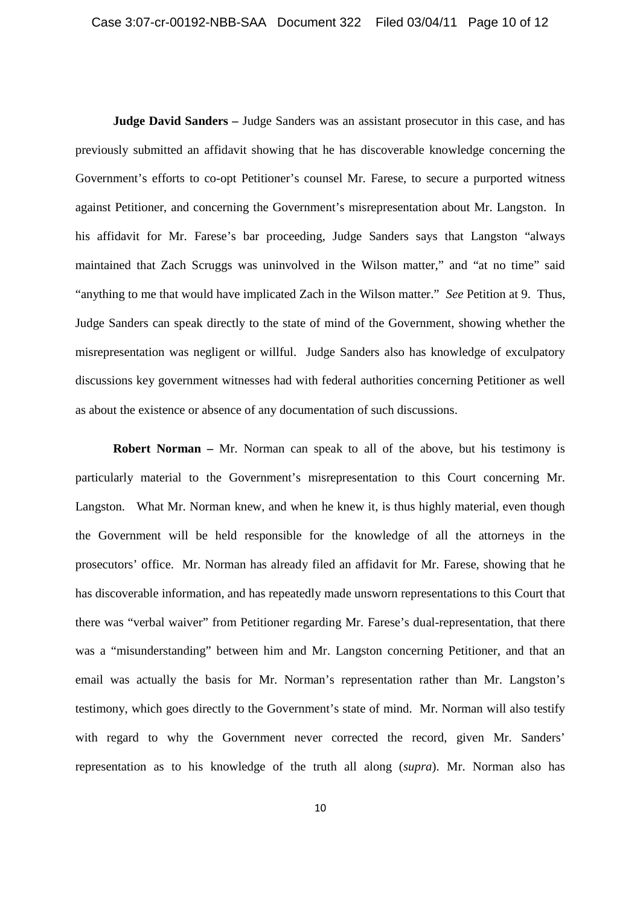**Judge David Sanders –** Judge Sanders was an assistant prosecutor in this case, and has previously submitted an affidavit showing that he has discoverable knowledge concerning the Government's efforts to co-opt Petitioner's counsel Mr. Farese, to secure a purported witness against Petitioner, and concerning the Government's misrepresentation about Mr. Langston. In his affidavit for Mr. Farese's bar proceeding, Judge Sanders says that Langston "always maintained that Zach Scruggs was uninvolved in the Wilson matter," and "at no time" said "anything to me that would have implicated Zach in the Wilson matter." *See* Petition at 9. Thus, Judge Sanders can speak directly to the state of mind of the Government, showing whether the misrepresentation was negligent or willful. Judge Sanders also has knowledge of exculpatory discussions key government witnesses had with federal authorities concerning Petitioner as well as about the existence or absence of any documentation of such discussions.

**Robert Norman** – Mr. Norman can speak to all of the above, but his testimony is particularly material to the Government's misrepresentation to this Court concerning Mr. Langston. What Mr. Norman knew, and when he knew it, is thus highly material, even though the Government will be held responsible for the knowledge of all the attorneys in the prosecutors' office. Mr. Norman has already filed an affidavit for Mr. Farese, showing that he has discoverable information, and has repeatedly made unsworn representations to this Court that there was "verbal waiver" from Petitioner regarding Mr. Farese's dual-representation, that there was a "misunderstanding" between him and Mr. Langston concerning Petitioner, and that an email was actually the basis for Mr. Norman's representation rather than Mr. Langston's testimony, which goes directly to the Government's state of mind. Mr. Norman will also testify with regard to why the Government never corrected the record, given Mr. Sanders' representation as to his knowledge of the truth all along (*supra*). Mr. Norman also has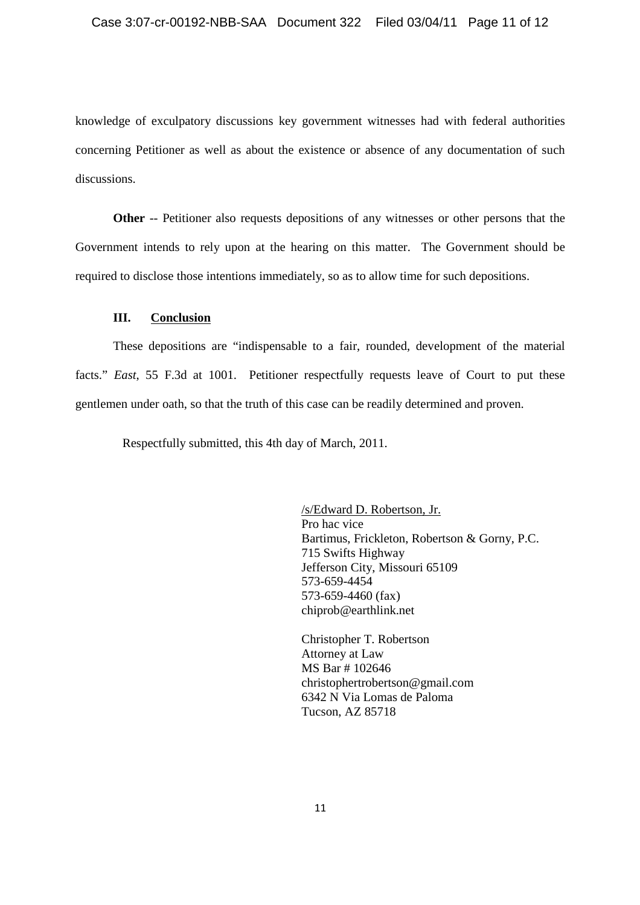knowledge of exculpatory discussions key government witnesses had with federal authorities concerning Petitioner as well as about the existence or absence of any documentation of such discussions.

**Other** -- Petitioner also requests depositions of any witnesses or other persons that the Government intends to rely upon at the hearing on this matter. The Government should be required to disclose those intentions immediately, so as to allow time for such depositions.

## **III. Conclusion**

These depositions are "indispensable to a fair, rounded, development of the material facts." *East*, 55 F.3d at 1001. Petitioner respectfully requests leave of Court to put these gentlemen under oath, so that the truth of this case can be readily determined and proven.

Respectfully submitted, this 4th day of March, 2011.

/s/Edward D. Robertson, Jr. Pro hac vice Bartimus, Frickleton, Robertson & Gorny, P.C. 715 Swifts Highway Jefferson City, Missouri 65109 573-659-4454 573-659-4460 (fax) chiprob@earthlink.net

Christopher T. Robertson Attorney at Law MS Bar # 102646 christophertrobertson@gmail.com 6342 N Via Lomas de Paloma Tucson, AZ 85718